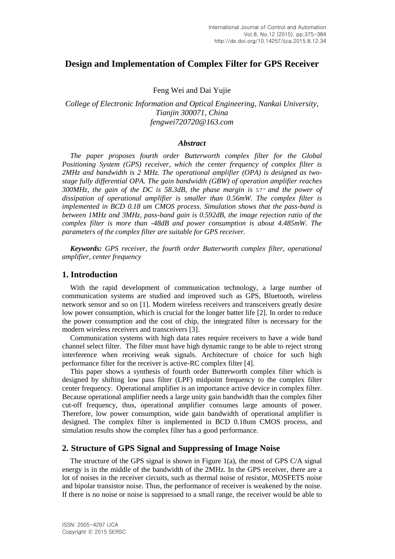# **Design and Implementation of Complex Filter for GPS Receiver**

Feng Wei and Dai Yujie

## *College of Electronic Information and Optical Engineering, Nankai University, Tianjin 300071, China fengwei720720@163.com*

#### *Abstract*

*The paper proposes fourth order Butterworth complex filter for the Global Positioning System (GPS) receiver, which the center frequency of complex filter is 2MHz and bandwidth is 2 MHz. The operational amplifier (OPA) is designed as twostage fully differential OPA. The gain bandwidth (GBW) of operation amplifier reaches 300MHz, the gain of the DC is 58.3dB, the phase margin is* 57 *and the power of dissipation of operational amplifier is smaller than 0.56mW. The complex filter is implemented in BCD 0.18 um CMOS process. Simulation shows that the pass-band is between 1MHz and 3MHz, pass-band gain is 0.592dB, the image rejection ratio of the complex filter is more than -48dB and power consumption is about 4.485mW. The parameters of the complex filter are suitable for GPS receiver.*

*Keywords: GPS receiver, the fourth order Butterworth complex filter, operational amplifier, center frequency*

## **1. Introduction**

With the rapid development of communication technology, a large number of communication systems are studied and improved such as GPS, Bluetooth, wireless network sensor and so on [1]. Modern wireless receivers and transceivers greatly desire low power consumption, which is crucial for the longer batter life [2]. In order to reduce the power consumption and the cost of chip, the integrated filter is necessary for the modern wireless receivers and transceivers [3].

Communication systems with high data rates require receivers to have a wide band channel select filter. The filter must have high dynamic range to be able to reject strong interference when receiving weak signals. Architecture of choice for such high performance filter for the receiver is active-RC complex filter [4].

This paper shows a synthesis of fourth order Butterworth complex filter which is designed by shifting low pass filter (LPF) midpoint frequency to the complex filter center frequency. Operational amplifier is an importance active device in complex filter. Because operational amplifier needs a large unity gain bandwidth than the complex filter cut-off frequency, thus, operational amplifier consumes large amounts of power. Therefore, low power consumption, wide gain bandwidth of operational amplifier is designed. The complex filter is implemented in BCD 0.18um CMOS process, and simulation results show the complex filter has a good performance.

## **2. Structure of GPS Signal and Suppressing of Image Noise**

The structure of the GPS signal is shown in Figure 1(a), the most of GPS C/A signal energy is in the middle of the bandwidth of the 2MHz. In the GPS receiver, there are a lot of noises in the receiver circuits, such as thermal noise of resistor, MOSFETS noise and bipolar transistor noise. Thus, the performance of receiver is weakened by the noise. If there is no noise or noise is suppressed to a small range, the receiver would be able to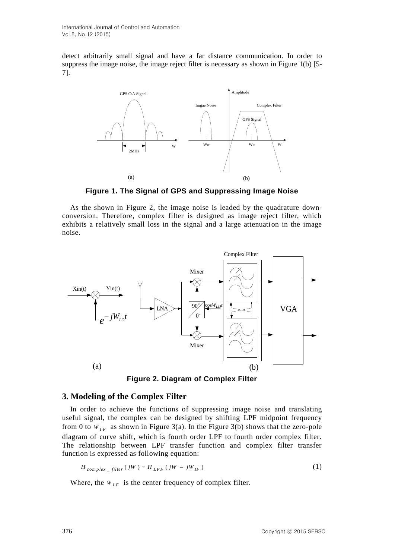detect arbitrarily small signal and have a far distance communication. In order to suppress the image noise, the image reject filter is necessary as shown in Figure 1(b) [5- 7].



**Figure 1. The Signal of GPS and Suppressing Image Noise**

As the shown in Figure 2, the image noise is leaded by the quadrature downconversion. Therefore, complex filter is designed as image reject filter, which exhibits a relatively small loss in the signal and a large attenuation in the image noise.



**Figure 2. Diagram of Complex Filter**

## **3. Modeling of the Complex Filter**

In order to achieve the functions of suppressing image noise and translating useful signal, the complex can be designed by shifting LPF midpoint frequency from 0 to  $W_{IF}$  as shown in Figure 3(a). In the Figure 3(b) shows that the zero-pole diagram of curve shift, which is fourth order LPF to fourth order complex filter. The relationship between LPF transfer function and complex filter transfer function is expressed as following equation:

$$
H_{complex\_filter}(jW) = H_{LPF}(jW - jW_{IF})
$$
\n(1)

Where, the  $W_{IF}$  is the center frequency of complex filter.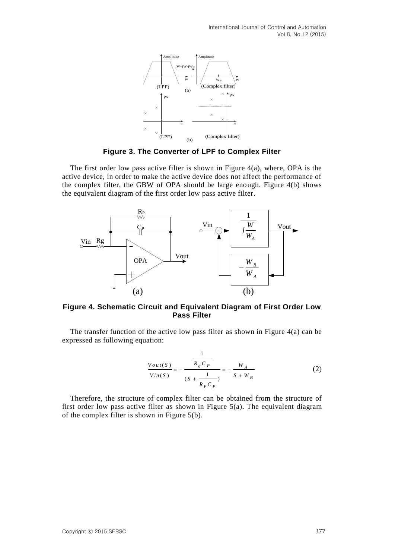

**Figure 3. The Converter of LPF to Complex Filter**

The first order low pass active filter is shown in Figure  $4(a)$ , where, OPA is the active device, in order to make the active device does not affect the performance of the complex filter, the GBW of OPA should be large enough. Figure 4(b) shows the equivalent diagram of the first order low pass active filter.



#### **Figure 4. Schematic Circuit and Equivalent Diagram of First Order Low Pass Filter**

The transfer function of the active low pass filter as shown in Figure 4(a) can be expressed as following equation:

$$
\frac{V_{out}(S)}{V_{in}(S)} = -\frac{\frac{1}{R_g C_p}}{(S + \frac{1}{R_p C_p})} = -\frac{W_A}{S + W_B}
$$
(2)

Therefore, the structure of complex filter can be obtained from the structure of first order low pass active filter as shown in Figure 5(a). The equivalent diagram of the complex filter is shown in Figure 5(b).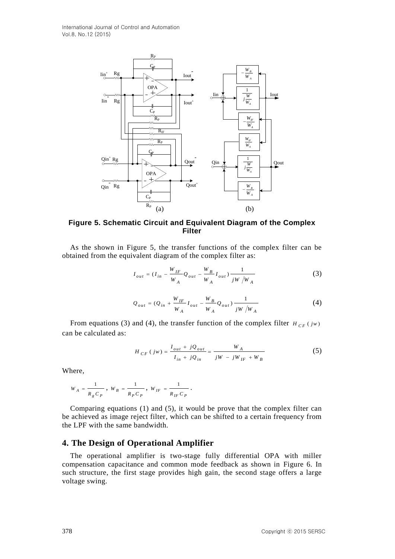International Journal of Control and Automation Vol.8, No.12 (2015)



**Figure 5. Schematic Circuit and Equivalent Diagram of the Complex Filter**

As the shown in Figure 5, the transfer functions of the complex filter can be obtained from the equivalent diagram of the complex filter as:

$$
I_{out} = (I_{in} - \frac{W_{IF}}{W_A} Q_{out} - \frac{W_B}{W_A} I_{out}) \frac{1}{jW/W_A}
$$
(3)

$$
Q_{out} = (Q_{in} + \frac{W_{IF}}{W_A} I_{out} - \frac{W_B}{W_A} Q_{out}) \frac{1}{jW / W_A}
$$
 (4)

From equations (3) and (4), the transfer function of the complex filter  $H_{CF}(jw)$ can be calculated as:

$$
H_{CF}(jw) = \frac{I_{out} + jQ_{out}}{I_{in} + jQ_{in}} = \frac{W_A}{jW - jW_{IF} + W_B}
$$
(5)

Where,

$$
W_A = \frac{1}{R_g C_P} \; , \; W_B = \frac{1}{R_p C_P} \; , \; W_{IF} = \frac{1}{R_{IF} C_P} \; .
$$

Comparing equations (1) and (5), it would be prove that the complex filter can be achieved as image reject filter, which can be shifted to a certain frequency from the LPF with the same bandwidth.

### **4. The Design of Operational Amplifier**

The operational amplifier is two-stage fully differential OPA with miller compensation capacitance and common mode feedback as shown in Figure 6. In such structure, the first stage provides high gain, the second stage offers a large voltage swing.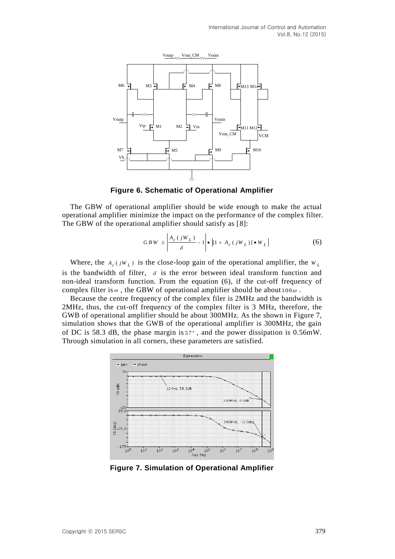

**Figure 6. Schematic of Operational Amplifier**

The GBW of operational amplifier should be wide enough to make the actual operational amplifier minimize the impact on the performance of the complex filter. The GBW of the operational amplifier should satisfy as [8]:

$$
GBW \ge \left| \frac{A_c(jW_L)}{\delta} - 1 \right| \bullet \left| [1 + A_c(jW_L)] \bullet W_L \right| \tag{6}
$$

Where, the  $A_c(jW_L)$  is the close-loop gain of the operational amplifier, the  $W_L$ is the bandwidth of filter,  $\delta$  is the error between ideal transform function and non-ideal transform function. From the equation (6), if the cut-off frequency of complex filter is  $\omega$ , the GBW of operational amplifier should be about 100 $\omega$ .

Because the centre frequency of the complex filer is 2MHz and the bandwidth is 2MHz, thus, the cut-off frequency of the complex filter is 3 MHz, therefore, the GWB of operational amplifier should be about 300MHz. As the shown in Figure 7, simulation shows that the GWB of the operational amplifier is 300MHz, the gain of DC is 58.3 dB, the phase margin is  $57^\circ$ , and the power dissipation is 0.56mW. Through simulation in all corners, these parameters are satisfied.



**Figure 7. Simulation of Operational Amplifier**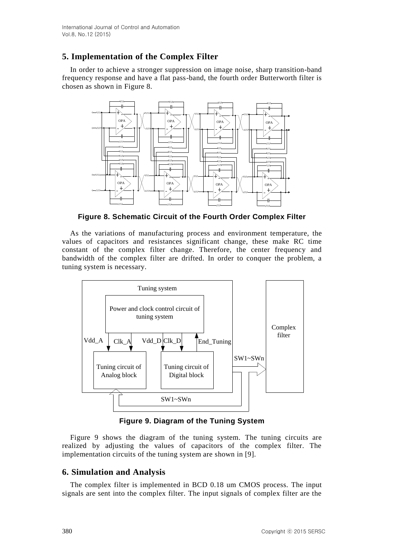# **5. Implementation of the Complex Filter**

In order to achieve a stronger suppression on image noise, sharp transition-band frequency response and have a flat pass-band, the fourth order Butterworth filter is chosen as shown in Figure 8.



**Figure 8. Schematic Circuit of the Fourth Order Complex Filter**

As the variations of manufacturing process and environment temperature, the values of capacitors and resistances significant change, these make RC time constant of the complex filter change. Therefore, the center frequency and bandwidth of the complex filter are drifted. In order to conquer the problem, a tuning system is necessary.



**Figure 9. Diagram of the Tuning System**

Figure 9 shows the diagram of the tuning system. The tuning circuits are realized by adjusting the values of capacitors of the complex filter. The implementation circuits of the tuning system are shown in [9].

# **6. Simulation and Analysis**

The complex filter is implemented in BCD 0.18 um CMOS process. The input signals are sent into the complex filter. The input signals of complex filter are the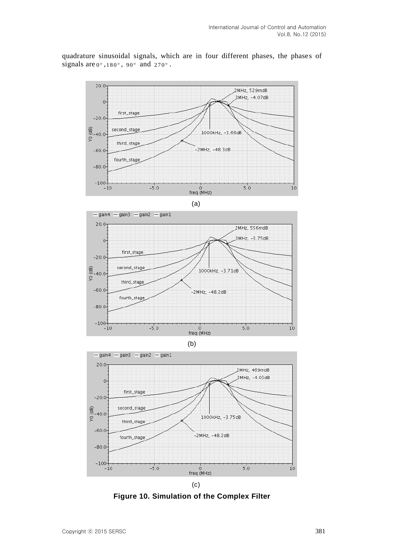

quadrature sinusoidal signals, which are in four different phases, the phases of signals are  $0^\circ$ ,  $180^\circ$ ,  $90^\circ$  and  $270^\circ$ .









**Figure 10. Simulation of the Complex Filter**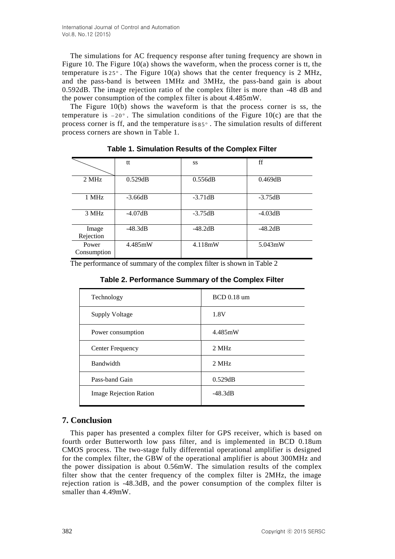The simulations for AC frequency response after tuning frequency are shown in Figure 10. The Figure 10(a) shows the waveform, when the process corner is tt, the temperature is  $25^\circ$ . The Figure 10(a) shows that the center frequency is 2 MHz, and the pass-band is between 1MHz and 3MHz, the pass-band gain is about 0.592dB. The image rejection ratio of the complex filter is more than -48 dB and the power consumption of the complex filter is about 4.485mW.

The Figure 10(b) shows the waveform is that the process corner is ss, the temperature is  $-20^\circ$ . The simulation conditions of the Figure 10(c) are that the process corner is ff, and the temperature is 85 . The simulation results of different process corners are shown in Table 1.

|             | tt        | SS        | ff        |
|-------------|-----------|-----------|-----------|
|             |           |           |           |
| 2 MHz       | 0.529dB   | 0.556dB   | 0.469dB   |
|             |           |           |           |
| 1 MHz       | $-3.66dB$ | $-3.71dB$ | $-3.75dB$ |
|             |           |           |           |
| 3 MHz       | $-4.07dB$ | $-3.75dB$ | $-4.03dB$ |
|             |           |           |           |
| Image       | $-48.3dB$ | $-48.2dB$ | $-48.2dB$ |
| Rejection   |           |           |           |
| Power       | 4.485mW   | 4.118mW   | 5.043mW   |
| Consumption |           |           |           |
|             |           |           |           |

**Table 1. Simulation Results of the Complex Filter**

The performance of summary of the complex filter is shown in Table 2

| Table 2. Performance Summary of the Complex Filter |  |
|----------------------------------------------------|--|
|----------------------------------------------------|--|

| Technology                    | <b>BCD</b> 0.18 um |  |
|-------------------------------|--------------------|--|
| <b>Supply Voltage</b>         | 1.8V               |  |
| Power consumption             | 4.485mW            |  |
| Center Frequency              | 2 MHz              |  |
| Bandwidth                     | 2 MHz              |  |
| Pass-band Gain                | 0.529dB            |  |
| <b>Image Rejection Ration</b> | $-48.3dB$          |  |

# **7. Conclusion**

This paper has presented a complex filter for GPS receiver, which is based on fourth order Butterworth low pass filter, and is implemented in BCD 0.18um CMOS process. The two-stage fully differential operational amplifier is designed for the complex filter, the GBW of the operational amplifier is about 300MHz and the power dissipation is about 0.56mW. The simulation results of the complex filter show that the center frequency of the complex filter is 2MHz, the image rejection ration is -48.3dB, and the power consumption of the complex filter is smaller than 4.49mW.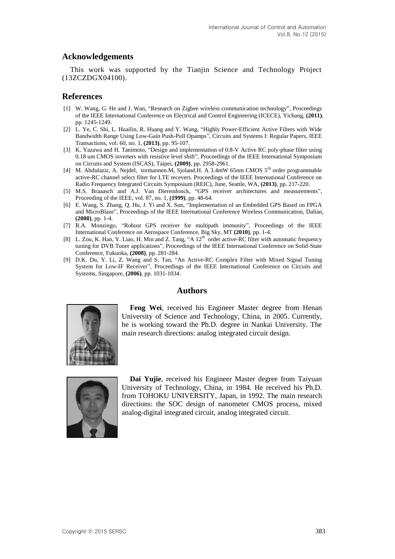#### **Acknowledgements**

This work was supported by the Tianjin Science and Technology Project (13ZCZDGX04100).

## **References**

- [1] W. Wang, G. He and J. Wan, "Research on Zigbee wireless communication technology", Proceedings of the IEEE International Conference on Electrical and Control Engineering (ICECE), Yichang, **(2011)**, pp. 1245-1249.
- [2] L. Ye, C. Shi, L. Huailin, R. Huang and Y. Wang, "Highly Power-Efficient Active Filters with Wide Bandwidth Range Using Low-Gain Push-Pull Opamps", Circuits and Systems І: Regular Papers, IEEE Transactions, vol. 60, no. 1, **(2013)**, pp. 95-107.
- [3] K. Yazawa and H. Tanimoto, "Design and implementation of 0.8-V Active RC poly-phase filter using 0.18 um CMOS inverters with resistive level shift", Proceedings of the IEEE International Symposium on Circuits and System (ISCAS), Taipei, **(2009)**, pp. 2958-2961.
- [4] M. Abdulaziz, A. Nejdel, tormannen.M, Sjoland.H. A 3.4mW 65nm CMOS 5<sup>th</sup> order programmable active-RC channel select filter for LTE recevers. Proceedings of the IEEE International Conference on Radio Frequency Integrated Circuits Symposium (REIC), June, Seattle, WA, **(2013)**, pp. 217-220.
- [5] M.S. Braaasch and A.J. Van Dierendonck, "GPS receiver architectures and measurements", Proceeding of the IEEE, vol. 87, no. 1, **(1999)**, pp. 48-64.
- [6] E. Wang, S. Zhang, Q. Hu, J. Yi and X. Sun, "Implementation of an Embedded GPS Based on FPGA and MicroBlaze", Proceedings of the IEEE International Conference Wireless Communication, Dalian, **(2008)**, pp. 1-4.
- [7] R.A. Monzingo, "Robust GPS receiver for multipath immunity", Proceedings of the IEEE International Conference on Aerospace Conference, Big Sky, MT **(2010)**, pp. 1-4.
- [8] L. Zou, K. Han, Y. Liao, H. Min and Z. Tang, "A 12<sup>th</sup> order active-RC filter with automatic frequency tuning for DVB Tuner applications", Proceedings of the IEEE International Conference on Solid-State Conference, Fukuoka, **(2008)**, pp. 281-284.
- [9] D.K. Du, Y. Li, Z. Wang and S. Tan, "An Active-RC Complex Filter with Mixed Signal Tuning System for Low-IF Receiver", Proceedings of the IEEE International Conference on Circuits and Systems, Singapore, **(2006)**, pp. 1031-1034.

#### **Authors**



**Feng Wei**, received his Engineer Master degree from Henan University of Science and Technology, China, in 2005. Currently, he is working toward the Ph.D. degree in Nankai University. The main research directions: analog integrated circuit design.



**Dai Yujie**, received his Engineer Master degree from Taiyuan University of Technology, China, in 1984. He received his Ph.D. from TOHOKU UNIVERSITY, Japan, in 1992. The main research directions: the SOC design of nanometer CMOS process, mixed analog-digital integrated circuit, analog integrated circuit.